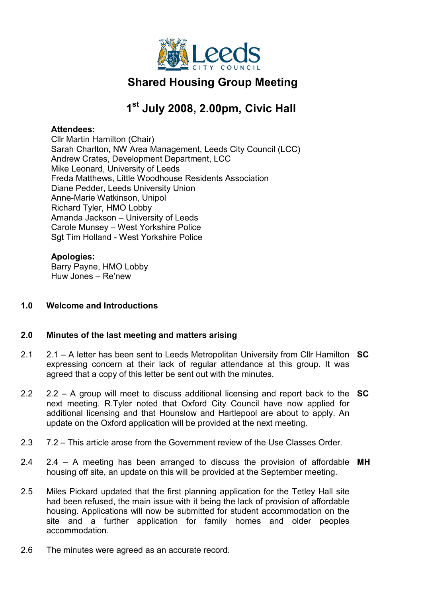

# Shared Housing Group Meeting

# 1<sup>st</sup> July 2008, 2.00pm, Civic Hall

### Attendees:

Cllr Martin Hamilton (Chair) Sarah Charlton, NW Area Management, Leeds City Council (LCC) Andrew Crates, Development Department, LCC Mike Leonard, University of Leeds Freda Matthews, Little Woodhouse Residents Association Diane Pedder, Leeds University Union Anne-Marie Watkinson, Unipol Richard Tyler, HMO Lobby Amanda Jackson – University of Leeds Carole Munsey – West Yorkshire Police Sgt Tim Holland - West Yorkshire Police

## Apologies:

Barry Payne, HMO Lobby Huw Jones – Re'new

## 1.0 Welcome and Introductions

## 2.0 Minutes of the last meeting and matters arising

- 2.1 2.1 – A letter has been sent to Leeds Metropolitan University from Cllr Hamilton SC expressing concern at their lack of regular attendance at this group. It was agreed that a copy of this letter be sent out with the minutes.
- 2.2 2.2  $-$  A group will meet to discuss additional licensing and report back to the  $SC$ next meeting. R.Tyler noted that Oxford City Council have now applied for additional licensing and that Hounslow and Hartlepool are about to apply. An update on the Oxford application will be provided at the next meeting.
- 2.3 7.2 – This article arose from the Government review of the Use Classes Order.
- 2.4 2.4 – A meeting has been arranged to discuss the provision of affordable MH housing off site, an update on this will be provided at the September meeting.
- 2.5 Miles Pickard updated that the first planning application for the Tetley Hall site had been refused, the main issue with it being the lack of provision of affordable housing. Applications will now be submitted for student accommodation on the site and a further application for family homes and older peoples accommodation.
- 2.6 The minutes were agreed as an accurate record.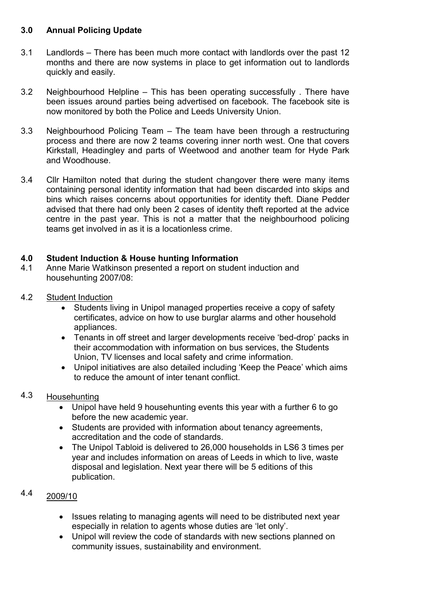# 3.0 Annual Policing Update

- 3.1 Landlords – There has been much more contact with landlords over the past 12 months and there are now systems in place to get information out to landlords quickly and easily.
- 3.2 Neighbourhood Helpline – This has been operating successfully . There have been issues around parties being advertised on facebook. The facebook site is now monitored by both the Police and Leeds University Union.
- 3.3 Neighbourhood Policing Team – The team have been through a restructuring process and there are now 2 teams covering inner north west. One that covers Kirkstall, Headingley and parts of Weetwood and another team for Hyde Park and Woodhouse.
- 3.4 Cllr Hamilton noted that during the student changover there were many items containing personal identity information that had been discarded into skips and bins which raises concerns about opportunities for identity theft. Diane Pedder advised that there had only been 2 cases of identity theft reported at the advice centre in the past year. This is not a matter that the neighbourhood policing teams get involved in as it is a locationless crime.

# 4.0 Student Induction & House hunting Information

- 4.1 Anne Marie Watkinson presented a report on student induction and househunting 2007/08:
- 4.2 Student Induction
	- Students living in Unipol managed properties receive a copy of safety certificates, advice on how to use burglar alarms and other household appliances.
	- Tenants in off street and larger developments receive 'bed-drop' packs in their accommodation with information on bus services, the Students Union, TV licenses and local safety and crime information.
	- Unipol initiatives are also detailed including 'Keep the Peace' which aims to reduce the amount of inter tenant conflict.
- 4.3 **Househunting** 
	- Unipol have held 9 househunting events this year with a further 6 to go before the new academic year.
	- Students are provided with information about tenancy agreements, accreditation and the code of standards.
	- The Unipol Tabloid is delivered to 26,000 households in LS6 3 times per year and includes information on areas of Leeds in which to live, waste disposal and legislation. Next year there will be 5 editions of this publication.
- 4.4 2009/10
	- Issues relating to managing agents will need to be distributed next year especially in relation to agents whose duties are 'let only'.
	- Unipol will review the code of standards with new sections planned on community issues, sustainability and environment.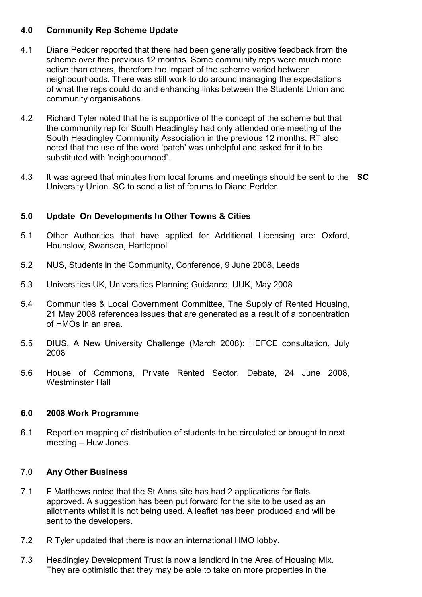### 4.0 Community Rep Scheme Update

- 4.1 Diane Pedder reported that there had been generally positive feedback from the scheme over the previous 12 months. Some community reps were much more active than others, therefore the impact of the scheme varied between neighbourhoods. There was still work to do around managing the expectations of what the reps could do and enhancing links between the Students Union and community organisations.
- 4.2 Richard Tyler noted that he is supportive of the concept of the scheme but that the community rep for South Headingley had only attended one meeting of the South Headingley Community Association in the previous 12 months. RT also noted that the use of the word 'patch' was unhelpful and asked for it to be substituted with 'neighbourhood'.
- 4.3 It was agreed that minutes from local forums and meetings should be sent to the SC University Union. SC to send a list of forums to Diane Pedder.

## 5.0 Update On Developments In Other Towns & Cities

- 5.1 Other Authorities that have applied for Additional Licensing are: Oxford, Hounslow, Swansea, Hartlepool.
- 5.2 NUS, Students in the Community, Conference, 9 June 2008, Leeds
- 5.3 Universities UK, Universities Planning Guidance, UUK, May 2008
- 5.4 Communities & Local Government Committee, The Supply of Rented Housing, 21 May 2008 references issues that are generated as a result of a concentration of HMOs in an area.
- 5.5 DIUS, A New University Challenge (March 2008): HEFCE consultation, July 2008
- 5.6 House of Commons, Private Rented Sector, Debate, 24 June 2008, Westminster Hall

#### 6.0 2008 Work Programme

6.1 Report on mapping of distribution of students to be circulated or brought to next meeting – Huw Jones.

#### 7.0 Any Other Business

- 7.1 F Matthews noted that the St Anns site has had 2 applications for flats approved. A suggestion has been put forward for the site to be used as an allotments whilst it is not being used. A leaflet has been produced and will be sent to the developers.
- 7.2 R Tyler updated that there is now an international HMO lobby.
- 7.3 Headingley Development Trust is now a landlord in the Area of Housing Mix. They are optimistic that they may be able to take on more properties in the